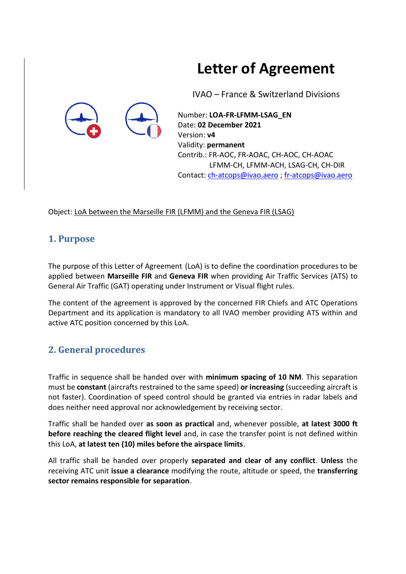# **Letter of Agreement**

IVAO – France & Switzerland Divisions



Number: **LOA-FR-LFMM-LSAG\_EN** Date: **02 December 2021** Version: **v4** Validity: **permanent** Contrib.: FR-AOC, FR-AOAC, CH-AOC, CH-AOAC LFMM-CH, LFMM-ACH, LSAG-CH, CH-DIR Contact[: ch-atcops@ivao.aero](mailto:ch-atcops@ivao.aero) ; [fr-atcops@ivao.aero](mailto:fr-atcops@ivao.aero)

Object: LoA between the Marseille FIR (LFMM) and the Geneva FIR (LSAG)

## **1. Purpose**

The purpose of this Letter of Agreement (LoA) is to define the coordination procedures to be applied between **Marseille FIR** and **Geneva FIR** when providing Air Traffic Services (ATS) to General Air Traffic (GAT) operating under Instrument or Visual flight rules.

The content of the agreement is approved by the concerned FIR Chiefs and ATC Operations Department and its application is mandatory to all IVAO member providing ATS within and active ATC position concerned by this LoA.

## **2. General procedures**

Traffic in sequence shall be handed over with **minimum spacing of 10 NM**. This separation must be **constant** (aircrafts restrained to the same speed) **or increasing** (succeeding aircraft is not faster). Coordination of speed control should be granted via entries in radar labels and does neither need approval nor acknowledgement by receiving sector.

Traffic shall be handed over **as soon as practical** and, whenever possible, **at latest 3000 ft before reaching the cleared flight level** and, in case the transfer point is not defined within this LoA, **at latest ten (10) miles before the airspace limits**.

All traffic shall be handed over properly **separated and clear of any conflict**. **Unless** the receiving ATC unit **issue a clearance** modifying the route, altitude or speed, the **transferring sector remains responsible for separation**.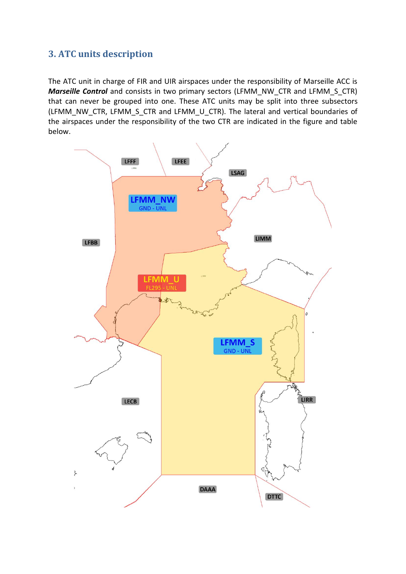## **3. ATC units description**

The ATC unit in charge of FIR and UIR airspaces under the responsibility of Marseille ACC is *Marseille Control* and consists in two primary sectors (LFMM\_NW\_CTR and LFMM\_S\_CTR) that can never be grouped into one. These ATC units may be split into three subsectors (LFMM\_NW\_CTR, LFMM\_S\_CTR and LFMM\_U\_CTR). The lateral and vertical boundaries of the airspaces under the responsibility of the two CTR are indicated in the figure and table below.

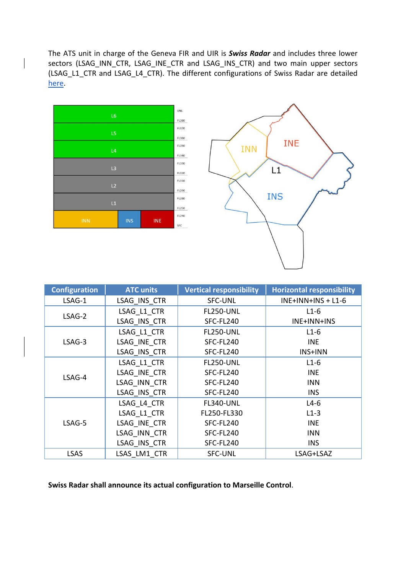The ATS unit in charge of the Geneva FIR and UIR is *Swiss Radar* and includes three lower sectors (LSAG\_INN\_CTR, LSAG\_INE\_CTR and LSAG\_INS\_CTR) and two main upper sectors (LSAG\_L1\_CTR and LSAG\_L4\_CTR). The different configurations of Swiss Radar are detailed [here.](https://www.ivao.ch/swiss-radar-lsag-acc/)





| <b>Configuration</b> | <b>ATC units</b> | <b>Vertical responsibility</b> | <b>Horizontal responsibility</b> |
|----------------------|------------------|--------------------------------|----------------------------------|
| LSAG-1               | LSAG INS CTR     | <b>SFC-UNL</b>                 | $INE+INN+INS + L1-6$             |
|                      | LSAG L1 CTR      | <b>FL250-UNL</b>               | $L1-6$                           |
| LSAG-2               | LSAG INS CTR     | SFC-FL240                      | INE+INN+INS                      |
|                      | LSAG L1 CTR      | <b>FL250-UNL</b>               | $L1-6$                           |
| LSAG-3               | LSAG INE CTR     | SFC-FL240                      | <b>INE</b>                       |
|                      | LSAG INS CTR     | SFC-FL240                      | INS+INN                          |
|                      | LSAG L1 CTR      | <b>FL250-UNL</b>               | $L1-6$                           |
| LSAG-4               | LSAG INE CTR     | SFC-FL240                      | <b>INE</b>                       |
|                      | LSAG INN CTR     | SFC-FL240                      | <b>INN</b>                       |
|                      | LSAG INS CTR     | SFC-FL240                      | <b>INS</b>                       |
|                      | LSAG L4 CTR      | FL340-UNL                      | $L4-6$                           |
| LSAG-5               | LSAG L1 CTR      | FL250-FL330                    | $L1-3$                           |
|                      | LSAG INE CTR     | SFC-FL240                      | <b>INE</b>                       |
|                      | LSAG INN CTR     | SFC-FL240                      | <b>INN</b>                       |
|                      | LSAG INS CTR     | SFC-FL240                      | <b>INS</b>                       |
| <b>LSAS</b>          | LSAS LM1 CTR     | <b>SFC-UNL</b>                 | LSAG+LSAZ                        |

**Swiss Radar shall announce its actual configuration to Marseille Control**.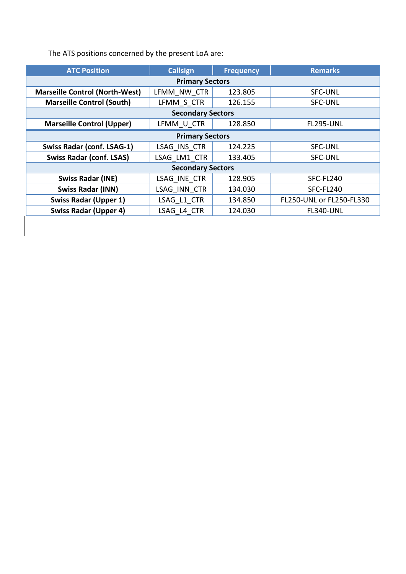The ATS positions concerned by the present LoA are:

| <b>ATC Position</b>                   | <b>Callsign</b> | <b>Frequency</b> | <b>Remarks</b>           |
|---------------------------------------|-----------------|------------------|--------------------------|
| <b>Primary Sectors</b>                |                 |                  |                          |
| <b>Marseille Control (North-West)</b> | LFMM NW CTR     | 123.805          | <b>SFC-UNL</b>           |
| <b>Marseille Control (South)</b>      | LFMM S CTR      | 126.155          | <b>SFC-UNL</b>           |
| <b>Secondary Sectors</b>              |                 |                  |                          |
| <b>Marseille Control (Upper)</b>      | LFMM U CTR      | 128.850          | <b>FL295-UNL</b>         |
| <b>Primary Sectors</b>                |                 |                  |                          |
| <b>Swiss Radar (conf. LSAG-1)</b>     | LSAG INS CTR    | 124.225          | <b>SFC-UNL</b>           |
| <b>Swiss Radar (conf. LSAS)</b>       | LSAG LM1 CTR    | 133.405          | <b>SFC-UNL</b>           |
| <b>Secondary Sectors</b>              |                 |                  |                          |
| <b>Swiss Radar (INE)</b>              | LSAG INE CTR    | 128.905          | SFC-FL240                |
| <b>Swiss Radar (INN)</b>              | LSAG INN CTR    | 134.030          | SFC-FL240                |
| <b>Swiss Radar (Upper 1)</b>          | LSAG L1 CTR     | 134.850          | FL250-UNL or FL250-FL330 |
| <b>Swiss Radar (Upper 4)</b>          | LSAG L4 CTR     | 124.030          | <b>FL340-UNL</b>         |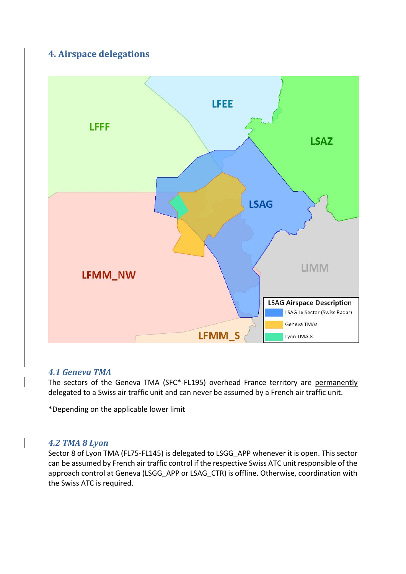## **4. Airspace delegations**



#### *4.1 Geneva TMA*

The sectors of the Geneva TMA (SFC\*-FL195) overhead France territory are permanently delegated to a Swiss air traffic unit and can never be assumed by a French air traffic unit.

\*Depending on the applicable lower limit

#### *4.2 TMA 8 Lyon*

Sector 8 of Lyon TMA (FL75-FL145) is delegated to LSGG\_APP whenever it is open. This sector can be assumed by French air traffic control if the respective Swiss ATC unit responsible of the approach control at Geneva (LSGG APP or LSAG CTR) is offline. Otherwise, coordination with the Swiss ATC is required.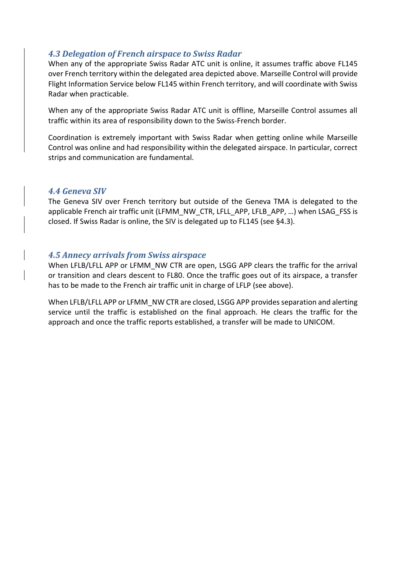#### *4.3 Delegation of French airspace to Swiss Radar*

When any of the appropriate Swiss Radar ATC unit is online, it assumes traffic above FL145 over French territory within the delegated area depicted above. Marseille Control will provide Flight Information Service below FL145 within French territory, and will coordinate with Swiss Radar when practicable.

When any of the appropriate Swiss Radar ATC unit is offline, Marseille Control assumes all traffic within its area of responsibility down to the Swiss-French border.

Coordination is extremely important with Swiss Radar when getting online while Marseille Control was online and had responsibility within the delegated airspace. In particular, correct strips and communication are fundamental.

#### *4.4 Geneva SIV*

The Geneva SIV over French territory but outside of the Geneva TMA is delegated to the applicable French air traffic unit (LFMM\_NW\_CTR, LFLL\_APP, LFLB\_APP, …) when LSAG\_FSS is closed. If Swiss Radar is online, the SIV is delegated up to FL145 (see §4.3).

#### *4.5 Annecy arrivals from Swiss airspace*

When LFLB/LFLL APP or LFMM\_NW CTR are open, LSGG APP clears the traffic for the arrival or transition and clears descent to FL80. Once the traffic goes out of its airspace, a transfer has to be made to the French air traffic unit in charge of LFLP (see above).

When LFLB/LFLL APP or LFMM NW CTR are closed, LSGG APP provides separation and alerting service until the traffic is established on the final approach. He clears the traffic for the approach and once the traffic reports established, a transfer will be made to UNICOM.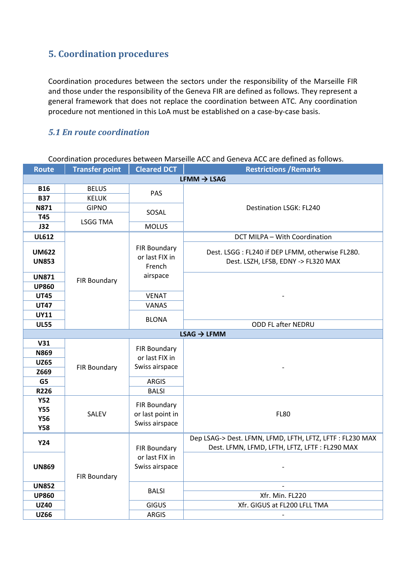## **5. Coordination procedures**

Coordination procedures between the sectors under the responsibility of the Marseille FIR and those under the responsibility of the Geneva FIR are defined as follows. They represent a general framework that does not replace the coordination between ATC. Any coordination procedure not mentioned in this LoA must be established on a case-by-case basis.

#### *5.1 En route coordination*

Coordination procedures between Marseille ACC and Geneva ACC are defined as follows.

| <b>Route</b> | <b>Transfer point</b>   | <b>Cleared DCT</b> | <b>Restrictions / Remarks</b>                            |  |
|--------------|-------------------------|--------------------|----------------------------------------------------------|--|
|              | $LFMM \rightarrow LSAG$ |                    |                                                          |  |
| <b>B16</b>   | <b>BELUS</b>            | PAS                |                                                          |  |
| <b>B37</b>   | <b>KELUK</b>            |                    |                                                          |  |
| <b>N871</b>  | <b>GIPNO</b>            | SOSAL              | Destination LSGK: FL240                                  |  |
| T45          | <b>LSGG TMA</b>         |                    |                                                          |  |
| J32          |                         | <b>MOLUS</b>       |                                                          |  |
| <b>UL612</b> |                         |                    | DCT MILPA - With Coordination                            |  |
|              |                         | FIR Boundary       |                                                          |  |
| <b>UM622</b> |                         | or last FIX in     | Dest. LSGG: FL240 if DEP LFMM, otherwise FL280.          |  |
| <b>UN853</b> |                         | French             | Dest. LSZH, LFSB, EDNY -> FL320 MAX                      |  |
| <b>UN871</b> |                         | airspace           |                                                          |  |
| <b>UP860</b> | FIR Boundary            |                    |                                                          |  |
| <b>UT45</b>  |                         | <b>VENAT</b>       |                                                          |  |
| <b>UT47</b>  |                         | VANAS              |                                                          |  |
| <b>UY11</b>  |                         |                    |                                                          |  |
| <b>UL55</b>  |                         | <b>BLONA</b>       | ODD FL after NEDRU                                       |  |
|              |                         |                    | $LSAG \rightarrow LFMM$                                  |  |
| V31          |                         | FIR Boundary       |                                                          |  |
| <b>N869</b>  |                         | or last FIX in     |                                                          |  |
| <b>UZ65</b>  |                         | Swiss airspace     |                                                          |  |
| Z669         | <b>FIR Boundary</b>     |                    |                                                          |  |
| G5           |                         | <b>ARGIS</b>       |                                                          |  |
| <b>R226</b>  |                         | <b>BALSI</b>       |                                                          |  |
| <b>Y52</b>   |                         | FIR Boundary       |                                                          |  |
| <b>Y55</b>   | SALEV                   | or last point in   | <b>FL80</b>                                              |  |
| <b>Y56</b>   |                         | Swiss airspace     |                                                          |  |
| <b>Y58</b>   |                         |                    |                                                          |  |
| <b>Y24</b>   |                         |                    | Dep LSAG-> Dest. LFMN, LFMD, LFTH, LFTZ, LFTF: FL230 MAX |  |
|              |                         | FIR Boundary       | Dest. LFMN, LFMD, LFTH, LFTZ, LFTF : FL290 MAX           |  |
|              |                         | or last FIX in     |                                                          |  |
| <b>UN869</b> |                         | Swiss airspace     |                                                          |  |
|              | <b>FIR Boundary</b>     |                    |                                                          |  |
| <b>UN852</b> |                         | <b>BALSI</b>       |                                                          |  |
| <b>UP860</b> |                         |                    | Xfr. Min. FL220                                          |  |
| <b>UZ40</b>  |                         | <b>GIGUS</b>       | Xfr. GIGUS at FL200 LFLL TMA                             |  |
| <b>UZ66</b>  |                         | <b>ARGIS</b>       |                                                          |  |